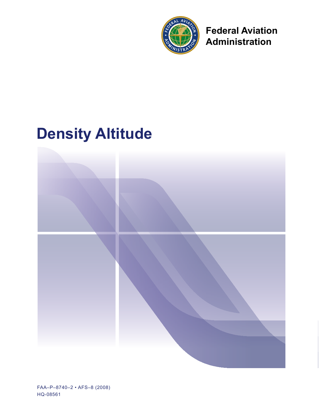

**Federal Aviation Administration** 

# **Density Altitude**



FAA-P-8740-2 · AFS-8 (2008) HQ-08561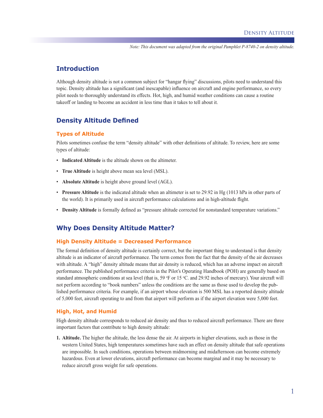*Note: This document was adapted from the original Pamphlet P-8740-2 on density altitude.*

## **Introduction**

Although density altitude is not a common subject for "hangar flying" discussions, pilots need to understand this topic. Density altitude has a significant (and inescapable) influence on aircraft and engine performance, so every pilot needs to thoroughly understand its effects. Hot, high, and humid weather conditions can cause a routine takeoff or landing to become an accident in less time than it takes to tell about it.

# **Density Altitude Defined**

#### **Types of Altitude**

Pilots sometimes confuse the term "density altitude" with other definitions of altitude. To review, here are some types of altitude:

- **Indicated Altitude** is the altitude shown on the altimeter.
- **True Altitude** is height above mean sea level (MSL).
- **Absolute Altitude** is height above ground level (AGL).
- **Pressure Altitude** is the indicated altitude when an altimeter is set to 29.92 in Hg (1013 hPa in other parts of the world). It is primarily used in aircraft performance calculations and in high-altitude flight.
- **Density Altitude** is formally defined as "pressure altitude corrected for nonstandard temperature variations."

## **Why Does Density Altitude Matter?**

#### **High Density Altitude = Decreased Performance**

The formal definition of density altitude is certainly correct, but the important thing to understand is that density altitude is an indicator of aircraft performance. The term comes from the fact that the density of the air decreases with altitude. A "high" density altitude means that air density is reduced, which has an adverse impact on aircraft performance. The published performance criteria in the Pilot's Operating Handbook (POH) are generally based on standard atmospheric conditions at sea level (that is, 59 °F or 15 °C. and 29.92 inches of mercury). Your aircraft will not perform according to "book numbers" unless the conditions are the same as those used to develop the published performance criteria. For example, if an airport whose elevation is 500 MSL has a reported density altitude of 5,000 feet, aircraft operating to and from that airport will perform as if the airport elevation were 5,000 feet.

#### **High, Hot, and Humid**

High density altitude corresponds to reduced air density and thus to reduced aircraft performance. There are three important factors that contribute to high density altitude:

**1. Altitude.** The higher the altitude, the less dense the air. At airports in higher elevations, such as those in the western United States, high temperatures sometimes have such an effect on density altitude that safe operations are impossible. In such conditions, operations between midmorning and midafternoon can become extremely hazardous. Even at lower elevations, aircraft performance can become marginal and it may be necessary to reduce aircraft gross weight for safe operations.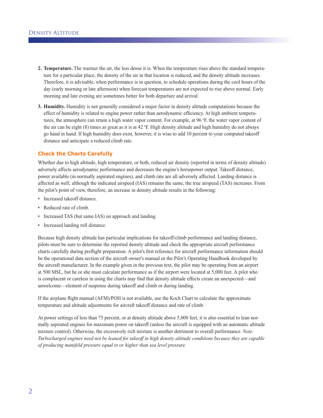- **2. Temperature.** The warmer the air, the less dense it is. When the temperature rises above the standard temperature for a particular place, the density of the air in that location is reduced, and the density altitude increases. Therefore, it is advisable, when performance is in question, to schedule operations during the cool hours of the day (early morning or late afternoon) when forecast temperatures are not expected to rise above normal. Early morning and late evening are sometimes better for both departure and arrival.
- **3. Humidity.** Humidity is not generally considered a major factor in density altitude computations because the effect of humidity is related to engine power rather than aerodynamic efficiency. At high ambient temperatures, the atmosphere can retain a high water vapor content. For example, at 96 °F, the water vapor content of the air can be eight  $(8)$  times as great as it is at  $42 \text{ }^{\circ}\text{F}$ . High density altitude and high humidity do not always go hand in hand. If high humidity does exist, however, it is wise to add 10 percent to your computed takeoff distance and anticipate a reduced climb rate.

## **Check the Charts Carefully**

Whether due to high altitude, high temperature, or both, reduced air density (reported in terms of density altitude) adversely affects aerodynamic performance and decreases the engine's horsepower output. Takeoff distance, power available (in normally aspirated engines), and climb rate are all adversely affected. Landing distance is affected as well; although the indicated airspeed (IAS) remains the same, the true airspeed (TAS) increases. From the pilot's point of view, therefore, an increase in density altitude results in the following:

- Increased takeoff distance.
- Reduced rate of climb.
- Increased TAS (but same IAS) on approach and landing.
- Increased landing roll distance.

Because high density altitude has particular implications for takeoff/climb performance and landing distance, pilots must be sure to determine the reported density altitude and check the appropriate aircraft performance charts carefully during preflight preparation. A pilot's first reference for aircraft performance information should be the operational data section of the aircraft owner's manual or the Pilot's Operating Handbook developed by the aircraft manufacturer. In the example given in the previous text, the pilot may be operating from an airport at 500 MSL, but he or she must calculate performance as if the airport were located at 5,000 feet. A pilot who is complacent or careless in using the charts may find that density altitude effects create an unexpected—and unwelcome—element of suspense during takeoff and climb or during landing.

If the airplane flight manual (AFM)/POH is not available, use the Koch Chart to calculate the approximate temperature and altitude adjustments for aircraft takeoff distance and rate of climb.

At power settings of less than 75 percent, or at density altitude above 5,000 feet, it is also essential to lean normally aspirated engines for maximum power on takeoff (unless the aircraft is equipped with an automatic altitude mixture control). Otherwise, the excessively rich mixture is another detriment to overall performance. *Note: Turbocharged engines need not be leaned for takeoff in high density altitude conditions because they are capable of producing manifold pressure equal to or higher than sea level pressure.*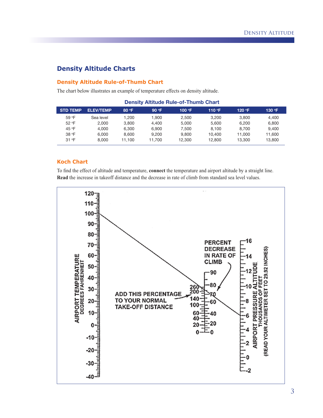# **Density Altitude Charts**

### **Density Altitude Rule-of-Thumb Chart**

The chart below illustrates an example of temperature effects on density altitude.

| <b>STD TEMP</b> | <b>ELEV/TEMP</b> | 80 °F  | 90 °F  | 100 $\,^{\circ}$ F | 110 °F | 120 °F | 130 °F |
|-----------------|------------------|--------|--------|--------------------|--------|--------|--------|
| 59 °F           | Sea level        | .200   | 1.900  | 2.500              | 3.200  | 3.800  | 4.400  |
| 52 °F           | 2.000            | 3.800  | 4.400  | 5.000              | 5.600  | 6.200  | 6.800  |
| 45 °F           | 4.000            | 6.300  | 6.900  | 7.500              | 8.100  | 8.700  | 9.400  |
| 38 °F           | 6.000            | 8.600  | 9.200  | 9.800              | 10.400 | 11.000 | 11.600 |
| 31 °F           | 8.000            | 11.100 | 11.700 | 12.300             | 12.800 | 13.300 | 13,800 |

### **Density Altitude Rule-of-Thumb Chart**

## **Koch Chart**

To find the effect of altitude and temperature, **connect** the temperature and airport altitude by a straight line. **Read** the increase in takeoff distance and the decrease in rate of climb from standard sea level values.